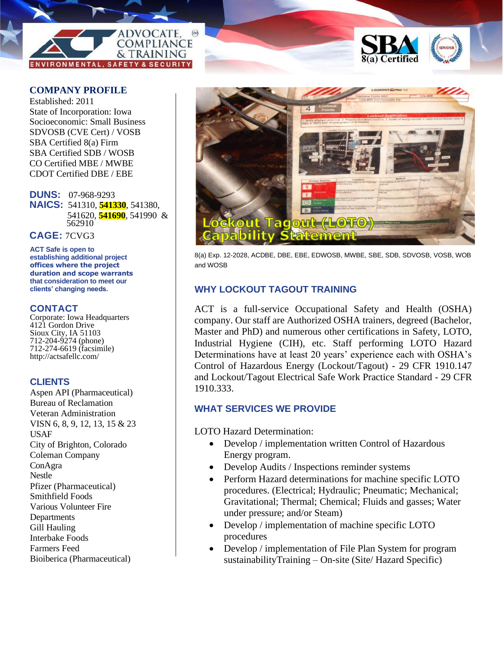



### **COMPANY PROFILE**

Established: 2011 State of Incorporation: Iowa Socioeconomic: Small Business SDVOSB (CVE Cert) / VOSB SBA Certified 8(a) Firm SBA Certified SDB / WOSB CO Certified MBE / MWBE CDOT Certified DBE / EBE

**DUNS:** 07-968-9293 **NAICS:** 541310, **541330**, 541380, 541620, **541690**, 541990 & 562910

**CAGE:** 7CVG3

**ACT Safe is open to establishing additional project offices where the project duration and scope warrants that consideration to meet our clients' changing needs.**

### **CONTACT**

Corporate: Iowa Headquarters 4121 Gordon Drive Sioux City, IA 51103 712-204-9274 (phone) 712-274-6619 (facsimile) http://actsafellc.com/

### **CLIENTS**

Aspen API (Pharmaceutical) Bureau of Reclamation Veteran Administration VISN 6, 8, 9, 12, 13, 15 & 23 USAF City of Brighton, Colorado Coleman Company ConAgra Nestle Pfizer (Pharmaceutical) Smithfield Foods Various Volunteer Fire Departments Gill Hauling Interbake Foods Farmers Feed Bioiberica (Pharmaceutical)



8(a) Exp. 12-2028, ACDBE, DBE, EBE, EDWOSB, MWBE, SBE, SDB, SDVOSB, VOSB, WOB and WOSB

# **WHY LOCKOUT TAGOUT TRAINING**

ACT is a full-service Occupational Safety and Health (OSHA) company. Our staff are Authorized OSHA trainers, degreed (Bachelor, Master and PhD) and numerous other certifications in Safety, LOTO, Industrial Hygiene (CIH), etc. Staff performing LOTO Hazard Determinations have at least 20 years' experience each with OSHA's Control of Hazardous Energy (Lockout/Tagout) - 29 CFR 1910.147 and Lockout/Tagout Electrical Safe Work Practice Standard - 29 CFR 1910.333.

## **WHAT SERVICES WE PROVIDE**

LOTO Hazard Determination:

- Develop / implementation written Control of Hazardous Energy program.
- Develop Audits / Inspections reminder systems
- Perform Hazard determinations for machine specific LOTO procedures. (Electrical; Hydraulic; Pneumatic; Mechanical; Gravitational; Thermal; Chemical; Fluids and gasses; Water under pressure; and/or Steam)
- Develop / implementation of machine specific LOTO procedures
- Develop / implementation of File Plan System for program sustainabilityTraining – On-site (Site/ Hazard Specific)